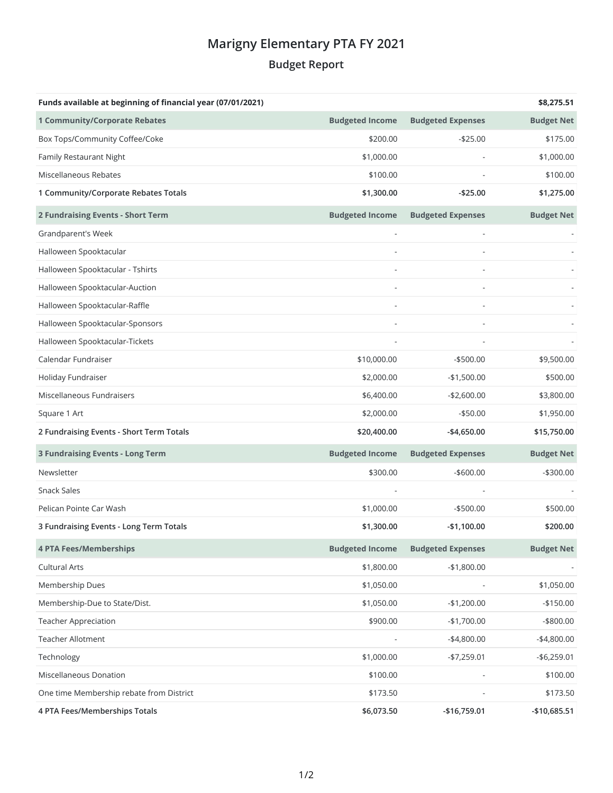## **Marigny Elementary PTA FY 2021 Budget Report**

| Funds available at beginning of financial year (07/01/2021) |                        |                          | \$8,275.51        |
|-------------------------------------------------------------|------------------------|--------------------------|-------------------|
| <b>1 Community/Corporate Rebates</b>                        | <b>Budgeted Income</b> | <b>Budgeted Expenses</b> | <b>Budget Net</b> |
| Box Tops/Community Coffee/Coke                              | \$200.00               | $-$25.00$                | \$175.00          |
| Family Restaurant Night                                     | \$1,000.00             |                          | \$1,000.00        |
| Miscellaneous Rebates                                       | \$100.00               |                          | \$100.00          |
| 1 Community/Corporate Rebates Totals                        | \$1,300.00             | $-$25.00$                | \$1,275.00        |
| 2 Fundraising Events - Short Term                           | <b>Budgeted Income</b> | <b>Budgeted Expenses</b> | <b>Budget Net</b> |
| Grandparent's Week                                          |                        |                          |                   |
| Halloween Spooktacular                                      |                        |                          |                   |
| Halloween Spooktacular - Tshirts                            |                        |                          |                   |
| Halloween Spooktacular-Auction                              |                        |                          |                   |
| Halloween Spooktacular-Raffle                               |                        |                          |                   |
| Halloween Spooktacular-Sponsors                             |                        |                          |                   |
| Halloween Spooktacular-Tickets                              |                        |                          |                   |
| Calendar Fundraiser                                         | \$10,000.00            | $- $500.00$              | \$9,500.00        |
| Holiday Fundraiser                                          | \$2,000.00             | $-$1,500.00$             | \$500.00          |
| Miscellaneous Fundraisers                                   | \$6,400.00             | $-$2,600.00$             | \$3,800.00        |
| Square 1 Art                                                | \$2,000.00             | $-$50.00$                | \$1,950.00        |
| 2 Fundraising Events - Short Term Totals                    | \$20,400.00            | $-$4,650.00$             | \$15,750.00       |
| <b>3 Fundraising Events - Long Term</b>                     | <b>Budgeted Income</b> | <b>Budgeted Expenses</b> | <b>Budget Net</b> |
| Newsletter                                                  | \$300.00               | $-$ \$600.00             | $-$300.00$        |
| <b>Snack Sales</b>                                          |                        |                          |                   |
| Pelican Pointe Car Wash                                     | \$1,000.00             | $- $500.00$              | \$500.00          |
| 3 Fundraising Events - Long Term Totals                     | \$1,300.00             | $-$1,100.00$             | \$200.00          |
| <b>4 PTA Fees/Memberships</b>                               | <b>Budgeted Income</b> | <b>Budgeted Expenses</b> | <b>Budget Net</b> |
| Cultural Arts                                               | \$1,800.00             | $-$1,800.00$             |                   |
| Membership Dues                                             | \$1,050.00             |                          | \$1,050.00        |
| Membership-Due to State/Dist.                               | \$1,050.00             | $-$1,200.00$             | $-$150.00$        |
| <b>Teacher Appreciation</b>                                 | \$900.00               | $-$1,700.00$             | $-$ \$800.00      |
| <b>Teacher Allotment</b>                                    |                        | $-$4,800.00$             | $-$4,800.00$      |
| Technology                                                  | \$1,000.00             | $-$7,259.01$             | $-$6,259.01$      |
| Miscellaneous Donation                                      | \$100.00               |                          | \$100.00          |
| One time Membership rebate from District                    | \$173.50               |                          | \$173.50          |
| 4 PTA Fees/Memberships Totals                               | \$6,073.50             | $-$16,759.01$            | -\$10,685.51      |